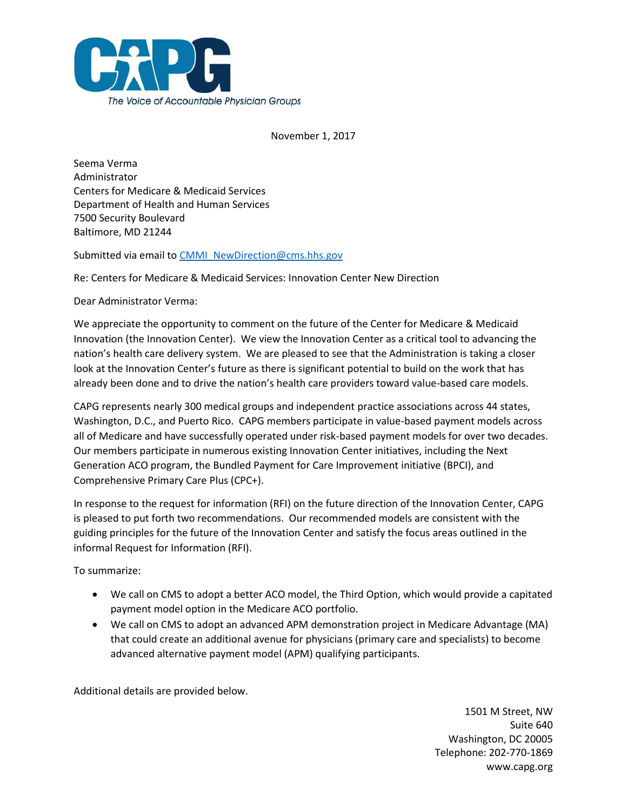

November 1, 2017

Seema Verma Administrator Centers for Medicare & Medicaid Services Department of Health and Human Services 7500 Security Boulevard Baltimore, MD 21244

Submitted via email to [CMMI\\_NewDirection@cms.hhs.gov](mailto:CMMI_NewDirection@cms.hhs.gov)

Re: Centers for Medicare & Medicaid Services: Innovation Center New Direction

Dear Administrator Verma:

We appreciate the opportunity to comment on the future of the Center for Medicare & Medicaid Innovation (the Innovation Center). We view the Innovation Center as a critical tool to advancing the nation's health care delivery system. We are pleased to see that the Administration is taking a closer look at the Innovation Center's future as there is significant potential to build on the work that has already been done and to drive the nation's health care providers toward value-based care models.

CAPG represents nearly 300 medical groups and independent practice associations across 44 states, Washington, D.C., and Puerto Rico. CAPG members participate in value-based payment models across all of Medicare and have successfully operated under risk-based payment models for over two decades. Our members participate in numerous existing Innovation Center initiatives, including the Next Generation ACO program, the Bundled Payment for Care Improvement initiative (BPCI), and Comprehensive Primary Care Plus (CPC+).

In response to the request for information (RFI) on the future direction of the Innovation Center, CAPG is pleased to put forth two recommendations. Our recommended models are consistent with the guiding principles for the future of the Innovation Center and satisfy the focus areas outlined in the informal Request for Information (RFI).

To summarize:

- We call on CMS to adopt a better ACO model, the Third Option, which would provide a capitated payment model option in the Medicare ACO portfolio.
- We call on CMS to adopt an advanced APM demonstration project in Medicare Advantage (MA) that could create an additional avenue for physicians (primary care and specialists) to become advanced alternative payment model (APM) qualifying participants.

Additional details are provided below.

1501 M Street, NW Suite 640 Washington, DC 20005 Telephone: 202-770-1869 www.capg.org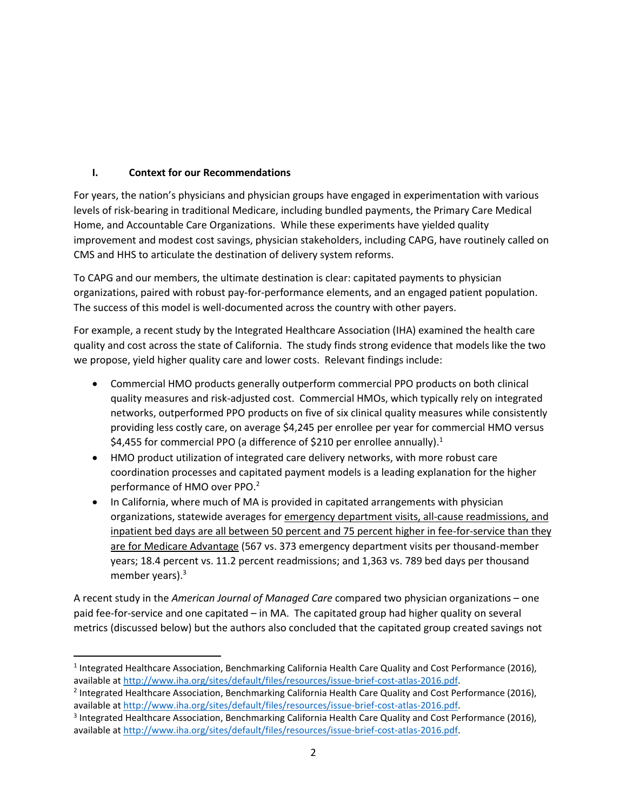## **I. Context for our Recommendations**

For years, the nation's physicians and physician groups have engaged in experimentation with various levels of risk-bearing in traditional Medicare, including bundled payments, the Primary Care Medical Home, and Accountable Care Organizations. While these experiments have yielded quality improvement and modest cost savings, physician stakeholders, including CAPG, have routinely called on CMS and HHS to articulate the destination of delivery system reforms.

To CAPG and our members, the ultimate destination is clear: capitated payments to physician organizations, paired with robust pay-for-performance elements, and an engaged patient population. The success of this model is well-documented across the country with other payers.

For example, a recent study by the Integrated Healthcare Association (IHA) examined the health care quality and cost across the state of California. The study finds strong evidence that models like the two we propose, yield higher quality care and lower costs. Relevant findings include:

- Commercial HMO products generally outperform commercial PPO products on both clinical quality measures and risk-adjusted cost. Commercial HMOs, which typically rely on integrated networks, outperformed PPO products on five of six clinical quality measures while consistently providing less costly care, on average \$4,245 per enrollee per year for commercial HMO versus \$4,455 for commercial PPO (a difference of \$210 per enrollee annually).<sup>1</sup>
- HMO product utilization of integrated care delivery networks, with more robust care coordination processes and capitated payment models is a leading explanation for the higher performance of HMO over PPO.<sup>2</sup>
- In California, where much of MA is provided in capitated arrangements with physician organizations, statewide averages for emergency department visits, all-cause readmissions, and inpatient bed days are all between 50 percent and 75 percent higher in fee-for-service than they are for Medicare Advantage (567 vs. 373 emergency department visits per thousand-member years; 18.4 percent vs. 11.2 percent readmissions; and 1,363 vs. 789 bed days per thousand member years). $3$

A recent study in the *American Journal of Managed Care* compared two physician organizations – one paid fee-for-service and one capitated – in MA. The capitated group had higher quality on several metrics (discussed below) but the authors also concluded that the capitated group created savings not

l <sup>1</sup> Integrated Healthcare Association, Benchmarking California Health Care Quality and Cost Performance (2016), available a[t http://www.iha.org/sites/default/files/resources/issue-brief-cost-atlas-2016.pdf.](http://www.iha.org/sites/default/files/resources/issue-brief-cost-atlas-2016.pdf)

<sup>&</sup>lt;sup>2</sup> Integrated Healthcare Association, Benchmarking California Health Care Quality and Cost Performance (2016), available a[t http://www.iha.org/sites/default/files/resources/issue-brief-cost-atlas-2016.pdf.](http://www.iha.org/sites/default/files/resources/issue-brief-cost-atlas-2016.pdf)

<sup>&</sup>lt;sup>3</sup> Integrated Healthcare Association, Benchmarking California Health Care Quality and Cost Performance (2016), available a[t http://www.iha.org/sites/default/files/resources/issue-brief-cost-atlas-2016.pdf.](http://www.iha.org/sites/default/files/resources/issue-brief-cost-atlas-2016.pdf)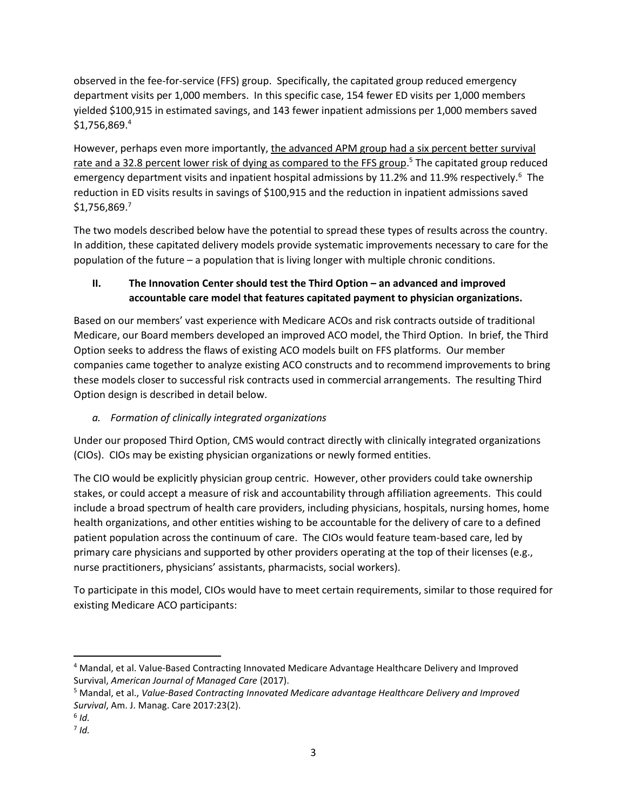observed in the fee-for-service (FFS) group. Specifically, the capitated group reduced emergency department visits per 1,000 members. In this specific case, 154 fewer ED visits per 1,000 members yielded \$100,915 in estimated savings, and 143 fewer inpatient admissions per 1,000 members saved  $$1,756,869.^4$ 

However, perhaps even more importantly, the advanced APM group had a six percent better survival rate and a 32.8 percent lower risk of dying as compared to the FFS group.<sup>5</sup> The capitated group reduced emergency department visits and inpatient hospital admissions by 11.2% and 11.9% respectively.<sup>6</sup> The reduction in ED visits results in savings of \$100,915 and the reduction in inpatient admissions saved \$1,756,869.<sup>7</sup>

The two models described below have the potential to spread these types of results across the country. In addition, these capitated delivery models provide systematic improvements necessary to care for the population of the future – a population that is living longer with multiple chronic conditions.

# **II. The Innovation Center should test the Third Option – an advanced and improved accountable care model that features capitated payment to physician organizations.**

Based on our members' vast experience with Medicare ACOs and risk contracts outside of traditional Medicare, our Board members developed an improved ACO model, the Third Option. In brief, the Third Option seeks to address the flaws of existing ACO models built on FFS platforms. Our member companies came together to analyze existing ACO constructs and to recommend improvements to bring these models closer to successful risk contracts used in commercial arrangements. The resulting Third Option design is described in detail below.

# *a. Formation of clinically integrated organizations*

Under our proposed Third Option, CMS would contract directly with clinically integrated organizations (CIOs). CIOs may be existing physician organizations or newly formed entities.

The CIO would be explicitly physician group centric. However, other providers could take ownership stakes, or could accept a measure of risk and accountability through affiliation agreements. This could include a broad spectrum of health care providers, including physicians, hospitals, nursing homes, home health organizations, and other entities wishing to be accountable for the delivery of care to a defined patient population across the continuum of care. The CIOs would feature team-based care, led by primary care physicians and supported by other providers operating at the top of their licenses (e.g., nurse practitioners, physicians' assistants, pharmacists, social workers).

To participate in this model, CIOs would have to meet certain requirements, similar to those required for existing Medicare ACO participants:

l <sup>4</sup> Mandal, et al. Value-Based Contracting Innovated Medicare Advantage Healthcare Delivery and Improved Survival, *American Journal of Managed Care* (2017).

<sup>5</sup> Mandal, et al., *Value-Based Contracting Innovated Medicare advantage Healthcare Delivery and Improved Survival*, Am. J. Manag. Care 2017:23(2).

<sup>6</sup> *Id.*

<sup>7</sup> *Id.*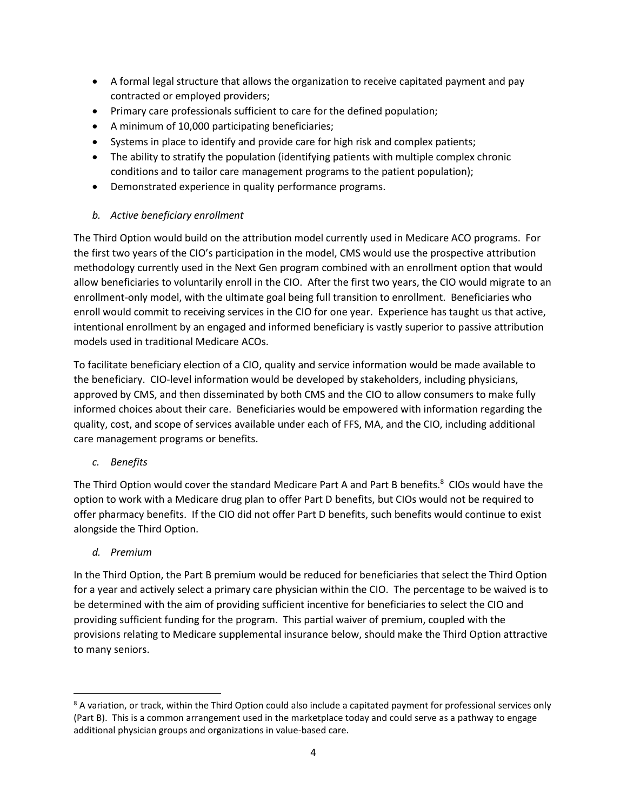- A formal legal structure that allows the organization to receive capitated payment and pay contracted or employed providers;
- Primary care professionals sufficient to care for the defined population;
- A minimum of 10,000 participating beneficiaries;
- Systems in place to identify and provide care for high risk and complex patients;
- The ability to stratify the population (identifying patients with multiple complex chronic conditions and to tailor care management programs to the patient population);
- Demonstrated experience in quality performance programs.
- *b. Active beneficiary enrollment*

The Third Option would build on the attribution model currently used in Medicare ACO programs. For the first two years of the CIO's participation in the model, CMS would use the prospective attribution methodology currently used in the Next Gen program combined with an enrollment option that would allow beneficiaries to voluntarily enroll in the CIO. After the first two years, the CIO would migrate to an enrollment-only model, with the ultimate goal being full transition to enrollment. Beneficiaries who enroll would commit to receiving services in the CIO for one year. Experience has taught us that active, intentional enrollment by an engaged and informed beneficiary is vastly superior to passive attribution models used in traditional Medicare ACOs.

To facilitate beneficiary election of a CIO, quality and service information would be made available to the beneficiary. CIO-level information would be developed by stakeholders, including physicians, approved by CMS, and then disseminated by both CMS and the CIO to allow consumers to make fully informed choices about their care. Beneficiaries would be empowered with information regarding the quality, cost, and scope of services available under each of FFS, MA, and the CIO, including additional care management programs or benefits.

*c. Benefits*

The Third Option would cover the standard Medicare Part A and Part B benefits.<sup>8</sup> CIOs would have the option to work with a Medicare drug plan to offer Part D benefits, but CIOs would not be required to offer pharmacy benefits. If the CIO did not offer Part D benefits, such benefits would continue to exist alongside the Third Option.

*d. Premium*

 $\overline{a}$ 

In the Third Option, the Part B premium would be reduced for beneficiaries that select the Third Option for a year and actively select a primary care physician within the CIO. The percentage to be waived is to be determined with the aim of providing sufficient incentive for beneficiaries to select the CIO and providing sufficient funding for the program. This partial waiver of premium, coupled with the provisions relating to Medicare supplemental insurance below, should make the Third Option attractive to many seniors.

<sup>&</sup>lt;sup>8</sup> A variation, or track, within the Third Option could also include a capitated payment for professional services only (Part B). This is a common arrangement used in the marketplace today and could serve as a pathway to engage additional physician groups and organizations in value-based care.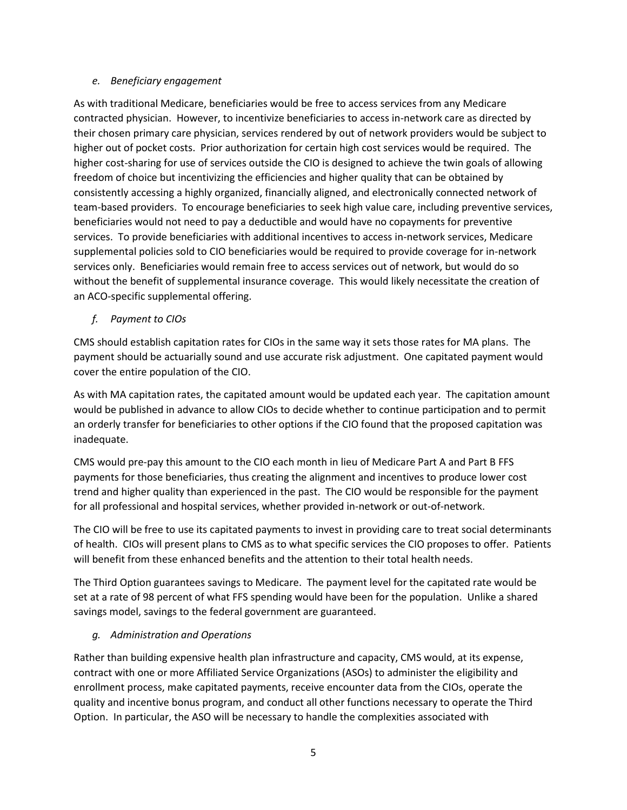### *e. Beneficiary engagement*

As with traditional Medicare, beneficiaries would be free to access services from any Medicare contracted physician. However, to incentivize beneficiaries to access in-network care as directed by their chosen primary care physician, services rendered by out of network providers would be subject to higher out of pocket costs. Prior authorization for certain high cost services would be required. The higher cost-sharing for use of services outside the CIO is designed to achieve the twin goals of allowing freedom of choice but incentivizing the efficiencies and higher quality that can be obtained by consistently accessing a highly organized, financially aligned, and electronically connected network of team-based providers. To encourage beneficiaries to seek high value care, including preventive services, beneficiaries would not need to pay a deductible and would have no copayments for preventive services. To provide beneficiaries with additional incentives to access in-network services, Medicare supplemental policies sold to CIO beneficiaries would be required to provide coverage for in-network services only. Beneficiaries would remain free to access services out of network, but would do so without the benefit of supplemental insurance coverage. This would likely necessitate the creation of an ACO-specific supplemental offering.

## *f. Payment to CIOs*

CMS should establish capitation rates for CIOs in the same way it sets those rates for MA plans. The payment should be actuarially sound and use accurate risk adjustment. One capitated payment would cover the entire population of the CIO.

As with MA capitation rates, the capitated amount would be updated each year. The capitation amount would be published in advance to allow CIOs to decide whether to continue participation and to permit an orderly transfer for beneficiaries to other options if the CIO found that the proposed capitation was inadequate.

CMS would pre-pay this amount to the CIO each month in lieu of Medicare Part A and Part B FFS payments for those beneficiaries, thus creating the alignment and incentives to produce lower cost trend and higher quality than experienced in the past. The CIO would be responsible for the payment for all professional and hospital services, whether provided in-network or out-of-network.

The CIO will be free to use its capitated payments to invest in providing care to treat social determinants of health. CIOs will present plans to CMS as to what specific services the CIO proposes to offer. Patients will benefit from these enhanced benefits and the attention to their total health needs.

The Third Option guarantees savings to Medicare. The payment level for the capitated rate would be set at a rate of 98 percent of what FFS spending would have been for the population. Unlike a shared savings model, savings to the federal government are guaranteed.

## *g. Administration and Operations*

Rather than building expensive health plan infrastructure and capacity, CMS would, at its expense, contract with one or more Affiliated Service Organizations (ASOs) to administer the eligibility and enrollment process, make capitated payments, receive encounter data from the CIOs, operate the quality and incentive bonus program, and conduct all other functions necessary to operate the Third Option. In particular, the ASO will be necessary to handle the complexities associated with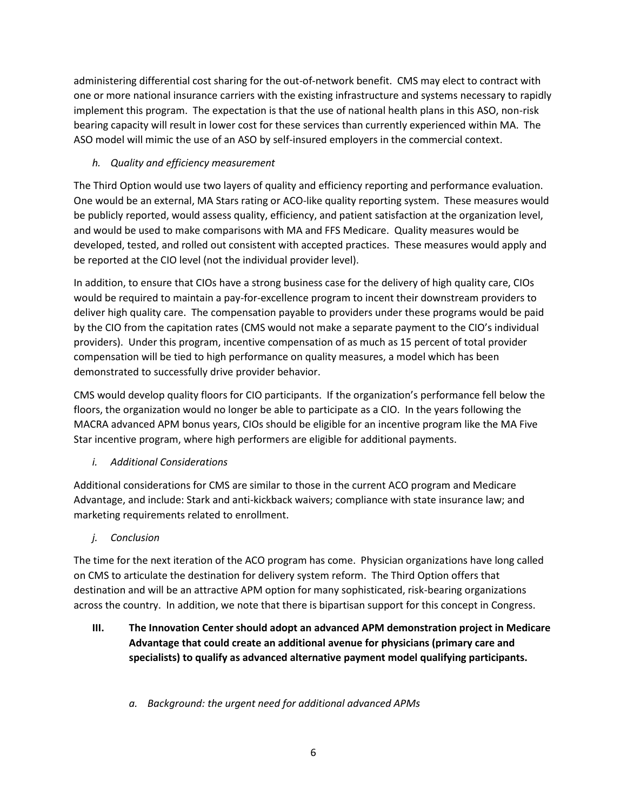administering differential cost sharing for the out-of-network benefit. CMS may elect to contract with one or more national insurance carriers with the existing infrastructure and systems necessary to rapidly implement this program. The expectation is that the use of national health plans in this ASO, non-risk bearing capacity will result in lower cost for these services than currently experienced within MA. The ASO model will mimic the use of an ASO by self-insured employers in the commercial context.

## *h. Quality and efficiency measurement*

The Third Option would use two layers of quality and efficiency reporting and performance evaluation. One would be an external, MA Stars rating or ACO-like quality reporting system. These measures would be publicly reported, would assess quality, efficiency, and patient satisfaction at the organization level, and would be used to make comparisons with MA and FFS Medicare. Quality measures would be developed, tested, and rolled out consistent with accepted practices. These measures would apply and be reported at the CIO level (not the individual provider level).

In addition, to ensure that CIOs have a strong business case for the delivery of high quality care, CIOs would be required to maintain a pay-for-excellence program to incent their downstream providers to deliver high quality care. The compensation payable to providers under these programs would be paid by the CIO from the capitation rates (CMS would not make a separate payment to the CIO's individual providers). Under this program, incentive compensation of as much as 15 percent of total provider compensation will be tied to high performance on quality measures, a model which has been demonstrated to successfully drive provider behavior.

CMS would develop quality floors for CIO participants. If the organization's performance fell below the floors, the organization would no longer be able to participate as a CIO. In the years following the MACRA advanced APM bonus years, CIOs should be eligible for an incentive program like the MA Five Star incentive program, where high performers are eligible for additional payments.

## *i. Additional Considerations*

Additional considerations for CMS are similar to those in the current ACO program and Medicare Advantage, and include: Stark and anti-kickback waivers; compliance with state insurance law; and marketing requirements related to enrollment.

## *j. Conclusion*

The time for the next iteration of the ACO program has come. Physician organizations have long called on CMS to articulate the destination for delivery system reform. The Third Option offers that destination and will be an attractive APM option for many sophisticated, risk-bearing organizations across the country. In addition, we note that there is bipartisan support for this concept in Congress.

- **III. The Innovation Center should adopt an advanced APM demonstration project in Medicare Advantage that could create an additional avenue for physicians (primary care and specialists) to qualify as advanced alternative payment model qualifying participants.**
	- *a. Background: the urgent need for additional advanced APMs*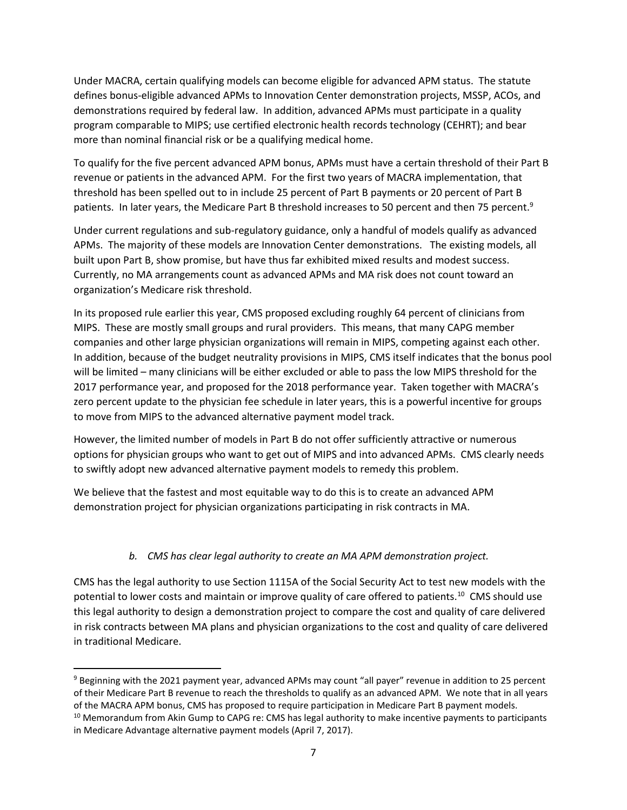Under MACRA, certain qualifying models can become eligible for advanced APM status. The statute defines bonus-eligible advanced APMs to Innovation Center demonstration projects, MSSP, ACOs, and demonstrations required by federal law. In addition, advanced APMs must participate in a quality program comparable to MIPS; use certified electronic health records technology (CEHRT); and bear more than nominal financial risk or be a qualifying medical home.

To qualify for the five percent advanced APM bonus, APMs must have a certain threshold of their Part B revenue or patients in the advanced APM. For the first two years of MACRA implementation, that threshold has been spelled out to in include 25 percent of Part B payments or 20 percent of Part B patients. In later years, the Medicare Part B threshold increases to 50 percent and then 75 percent.<sup>9</sup>

Under current regulations and sub-regulatory guidance, only a handful of models qualify as advanced APMs. The majority of these models are Innovation Center demonstrations. The existing models, all built upon Part B, show promise, but have thus far exhibited mixed results and modest success. Currently, no MA arrangements count as advanced APMs and MA risk does not count toward an organization's Medicare risk threshold.

In its proposed rule earlier this year, CMS proposed excluding roughly 64 percent of clinicians from MIPS. These are mostly small groups and rural providers. This means, that many CAPG member companies and other large physician organizations will remain in MIPS, competing against each other. In addition, because of the budget neutrality provisions in MIPS, CMS itself indicates that the bonus pool will be limited – many clinicians will be either excluded or able to pass the low MIPS threshold for the 2017 performance year, and proposed for the 2018 performance year. Taken together with MACRA's zero percent update to the physician fee schedule in later years, this is a powerful incentive for groups to move from MIPS to the advanced alternative payment model track.

However, the limited number of models in Part B do not offer sufficiently attractive or numerous options for physician groups who want to get out of MIPS and into advanced APMs. CMS clearly needs to swiftly adopt new advanced alternative payment models to remedy this problem.

We believe that the fastest and most equitable way to do this is to create an advanced APM demonstration project for physician organizations participating in risk contracts in MA.

## *b. CMS has clear legal authority to create an MA APM demonstration project.*

CMS has the legal authority to use Section 1115A of the Social Security Act to test new models with the potential to lower costs and maintain or improve quality of care offered to patients.<sup>10</sup> CMS should use this legal authority to design a demonstration project to compare the cost and quality of care delivered in risk contracts between MA plans and physician organizations to the cost and quality of care delivered in traditional Medicare.

<sup>9</sup> Beginning with the 2021 payment year, advanced APMs may count "all payer" revenue in addition to 25 percent of their Medicare Part B revenue to reach the thresholds to qualify as an advanced APM. We note that in all years of the MACRA APM bonus, CMS has proposed to require participation in Medicare Part B payment models. <sup>10</sup> Memorandum from Akin Gump to CAPG re: CMS has legal authority to make incentive payments to participants

in Medicare Advantage alternative payment models (April 7, 2017).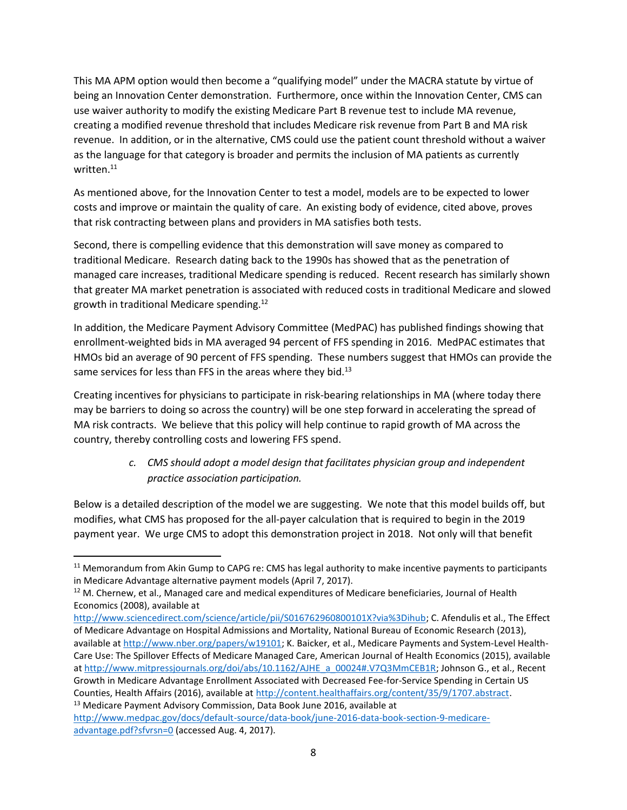This MA APM option would then become a "qualifying model" under the MACRA statute by virtue of being an Innovation Center demonstration. Furthermore, once within the Innovation Center, CMS can use waiver authority to modify the existing Medicare Part B revenue test to include MA revenue, creating a modified revenue threshold that includes Medicare risk revenue from Part B and MA risk revenue. In addition, or in the alternative, CMS could use the patient count threshold without a waiver as the language for that category is broader and permits the inclusion of MA patients as currently written.<sup>11</sup>

As mentioned above, for the Innovation Center to test a model, models are to be expected to lower costs and improve or maintain the quality of care. An existing body of evidence, cited above, proves that risk contracting between plans and providers in MA satisfies both tests.

Second, there is compelling evidence that this demonstration will save money as compared to traditional Medicare. Research dating back to the 1990s has showed that as the penetration of managed care increases, traditional Medicare spending is reduced. Recent research has similarly shown that greater MA market penetration is associated with reduced costs in traditional Medicare and slowed growth in traditional Medicare spending.<sup>12</sup>

In addition, the Medicare Payment Advisory Committee (MedPAC) has published findings showing that enrollment-weighted bids in MA averaged 94 percent of FFS spending in 2016. MedPAC estimates that HMOs bid an average of 90 percent of FFS spending. These numbers suggest that HMOs can provide the same services for less than FFS in the areas where they bid. $^{13}$ 

Creating incentives for physicians to participate in risk-bearing relationships in MA (where today there may be barriers to doing so across the country) will be one step forward in accelerating the spread of MA risk contracts. We believe that this policy will help continue to rapid growth of MA across the country, thereby controlling costs and lowering FFS spend.

# *c. CMS should adopt a model design that facilitates physician group and independent practice association participation.*

Below is a detailed description of the model we are suggesting. We note that this model builds off, but modifies, what CMS has proposed for the all-payer calculation that is required to begin in the 2019 payment year. We urge CMS to adopt this demonstration project in 2018. Not only will that benefit

<sup>&</sup>lt;sup>11</sup> Memorandum from Akin Gump to CAPG re: CMS has legal authority to make incentive payments to participants in Medicare Advantage alternative payment models (April 7, 2017).

<sup>&</sup>lt;sup>12</sup> M. Chernew, et al., Managed care and medical expenditures of Medicare beneficiaries, Journal of Health Economics (2008), available at

[http://www.sciencedirect.com/science/article/pii/S016762960800101X?via%3Dihub;](http://www.sciencedirect.com/science/article/pii/S016762960800101X?via%3Dihub) C. Afendulis et al., The Effect of Medicare Advantage on Hospital Admissions and Mortality, National Bureau of Economic Research (2013), available a[t http://www.nber.org/papers/w19101;](http://www.nber.org/papers/w19101) K. Baicker, et al., Medicare Payments and System-Level Health-Care Use: The Spillover Effects of Medicare Managed Care, American Journal of Health Economics (2015), available a[t http://www.mitpressjournals.org/doi/abs/10.1162/AJHE\\_a\\_00024#.V7Q3MmCEB1R;](http://www.mitpressjournals.org/doi/abs/10.1162/AJHE_a_00024#.V7Q3MmCEB1R) Johnson G., et al., Recent Growth in Medicare Advantage Enrollment Associated with Decreased Fee-for-Service Spending in Certain US Counties, Health Affairs (2016), available at [http://content.healthaffairs.org/content/35/9/1707.abstract.](http://content.healthaffairs.org/content/35/9/1707.abstract) <sup>13</sup> Medicare Payment Advisory Commission, Data Book June 2016, available at

[http://www.medpac.gov/docs/default-source/data-book/june-2016-data-book-section-9-medicare](http://www.medpac.gov/docs/default-source/data-book/june-2016-data-book-section-9-medicare-advantage.pdf?sfvrsn=0)[advantage.pdf?sfvrsn=0](http://www.medpac.gov/docs/default-source/data-book/june-2016-data-book-section-9-medicare-advantage.pdf?sfvrsn=0) (accessed Aug. 4, 2017).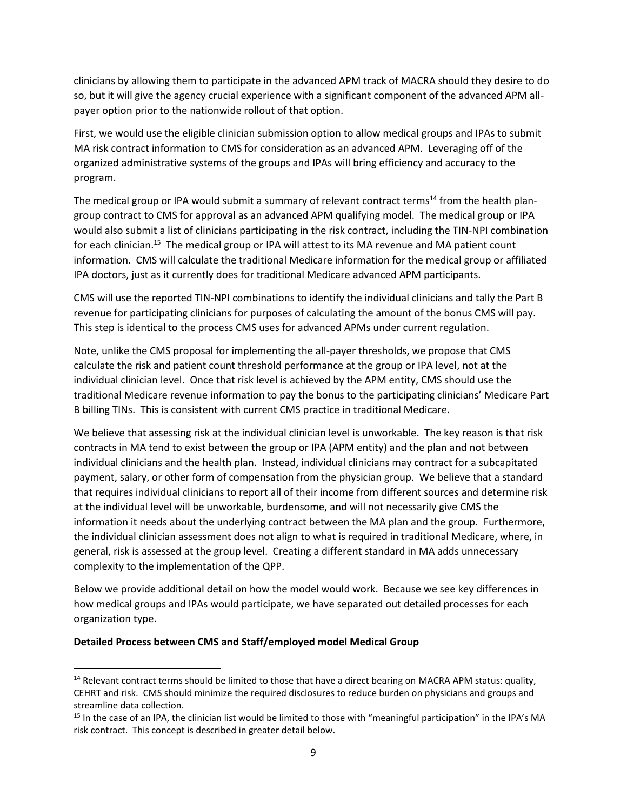clinicians by allowing them to participate in the advanced APM track of MACRA should they desire to do so, but it will give the agency crucial experience with a significant component of the advanced APM allpayer option prior to the nationwide rollout of that option.

First, we would use the eligible clinician submission option to allow medical groups and IPAs to submit MA risk contract information to CMS for consideration as an advanced APM. Leveraging off of the organized administrative systems of the groups and IPAs will bring efficiency and accuracy to the program.

The medical group or IPA would submit a summary of relevant contract terms<sup>14</sup> from the health plangroup contract to CMS for approval as an advanced APM qualifying model. The medical group or IPA would also submit a list of clinicians participating in the risk contract, including the TIN-NPI combination for each clinician.<sup>15</sup> The medical group or IPA will attest to its MA revenue and MA patient count information. CMS will calculate the traditional Medicare information for the medical group or affiliated IPA doctors, just as it currently does for traditional Medicare advanced APM participants.

CMS will use the reported TIN-NPI combinations to identify the individual clinicians and tally the Part B revenue for participating clinicians for purposes of calculating the amount of the bonus CMS will pay. This step is identical to the process CMS uses for advanced APMs under current regulation.

Note, unlike the CMS proposal for implementing the all-payer thresholds, we propose that CMS calculate the risk and patient count threshold performance at the group or IPA level, not at the individual clinician level. Once that risk level is achieved by the APM entity, CMS should use the traditional Medicare revenue information to pay the bonus to the participating clinicians' Medicare Part B billing TINs. This is consistent with current CMS practice in traditional Medicare.

We believe that assessing risk at the individual clinician level is unworkable. The key reason is that risk contracts in MA tend to exist between the group or IPA (APM entity) and the plan and not between individual clinicians and the health plan. Instead, individual clinicians may contract for a subcapitated payment, salary, or other form of compensation from the physician group. We believe that a standard that requires individual clinicians to report all of their income from different sources and determine risk at the individual level will be unworkable, burdensome, and will not necessarily give CMS the information it needs about the underlying contract between the MA plan and the group. Furthermore, the individual clinician assessment does not align to what is required in traditional Medicare, where, in general, risk is assessed at the group level. Creating a different standard in MA adds unnecessary complexity to the implementation of the QPP.

Below we provide additional detail on how the model would work. Because we see key differences in how medical groups and IPAs would participate, we have separated out detailed processes for each organization type.

#### **Detailed Process between CMS and Staff/employed model Medical Group**

<sup>&</sup>lt;sup>14</sup> Relevant contract terms should be limited to those that have a direct bearing on MACRA APM status: quality, CEHRT and risk. CMS should minimize the required disclosures to reduce burden on physicians and groups and streamline data collection.

<sup>&</sup>lt;sup>15</sup> In the case of an IPA, the clinician list would be limited to those with "meaningful participation" in the IPA's MA risk contract. This concept is described in greater detail below.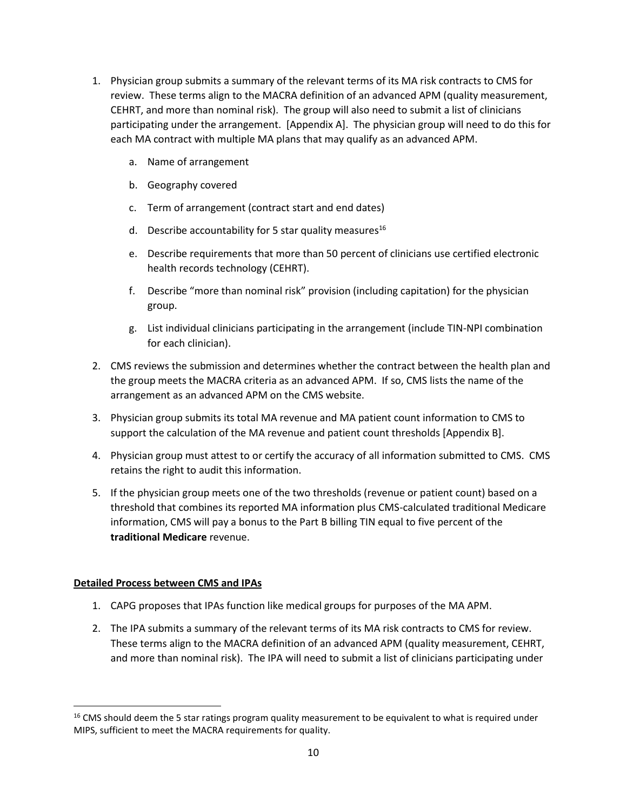- 1. Physician group submits a summary of the relevant terms of its MA risk contracts to CMS for review. These terms align to the MACRA definition of an advanced APM (quality measurement, CEHRT, and more than nominal risk). The group will also need to submit a list of clinicians participating under the arrangement. [Appendix A]. The physician group will need to do this for each MA contract with multiple MA plans that may qualify as an advanced APM.
	- a. Name of arrangement
	- b. Geography covered
	- c. Term of arrangement (contract start and end dates)
	- d. Describe accountability for 5 star quality measures<sup>16</sup>
	- e. Describe requirements that more than 50 percent of clinicians use certified electronic health records technology (CEHRT).
	- f. Describe "more than nominal risk" provision (including capitation) for the physician group.
	- g. List individual clinicians participating in the arrangement (include TIN-NPI combination for each clinician).
- 2. CMS reviews the submission and determines whether the contract between the health plan and the group meets the MACRA criteria as an advanced APM. If so, CMS lists the name of the arrangement as an advanced APM on the CMS website.
- 3. Physician group submits its total MA revenue and MA patient count information to CMS to support the calculation of the MA revenue and patient count thresholds [Appendix B].
- 4. Physician group must attest to or certify the accuracy of all information submitted to CMS. CMS retains the right to audit this information.
- 5. If the physician group meets one of the two thresholds (revenue or patient count) based on a threshold that combines its reported MA information plus CMS-calculated traditional Medicare information, CMS will pay a bonus to the Part B billing TIN equal to five percent of the **traditional Medicare** revenue.

## **Detailed Process between CMS and IPAs**

- 1. CAPG proposes that IPAs function like medical groups for purposes of the MA APM.
- 2. The IPA submits a summary of the relevant terms of its MA risk contracts to CMS for review. These terms align to the MACRA definition of an advanced APM (quality measurement, CEHRT, and more than nominal risk). The IPA will need to submit a list of clinicians participating under

 $16$  CMS should deem the 5 star ratings program quality measurement to be equivalent to what is required under MIPS, sufficient to meet the MACRA requirements for quality.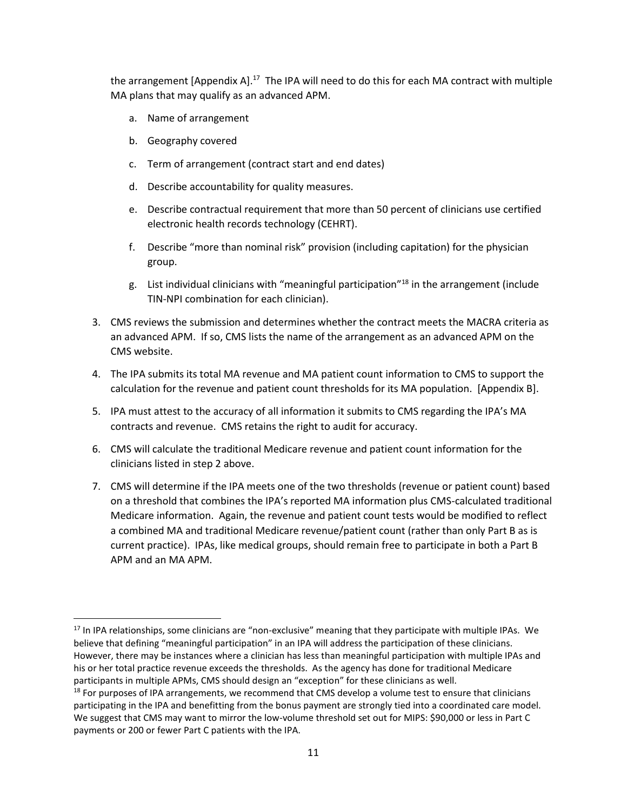the arrangement [Appendix A].<sup>17</sup> The IPA will need to do this for each MA contract with multiple MA plans that may qualify as an advanced APM.

- a. Name of arrangement
- b. Geography covered

- c. Term of arrangement (contract start and end dates)
- d. Describe accountability for quality measures.
- e. Describe contractual requirement that more than 50 percent of clinicians use certified electronic health records technology (CEHRT).
- f. Describe "more than nominal risk" provision (including capitation) for the physician group.
- g. List individual clinicians with "meaningful participation"<sup>18</sup> in the arrangement (include TIN-NPI combination for each clinician).
- 3. CMS reviews the submission and determines whether the contract meets the MACRA criteria as an advanced APM. If so, CMS lists the name of the arrangement as an advanced APM on the CMS website.
- 4. The IPA submits its total MA revenue and MA patient count information to CMS to support the calculation for the revenue and patient count thresholds for its MA population. [Appendix B].
- 5. IPA must attest to the accuracy of all information it submits to CMS regarding the IPA's MA contracts and revenue. CMS retains the right to audit for accuracy.
- 6. CMS will calculate the traditional Medicare revenue and patient count information for the clinicians listed in step 2 above.
- 7. CMS will determine if the IPA meets one of the two thresholds (revenue or patient count) based on a threshold that combines the IPA's reported MA information plus CMS-calculated traditional Medicare information. Again, the revenue and patient count tests would be modified to reflect a combined MA and traditional Medicare revenue/patient count (rather than only Part B as is current practice). IPAs, like medical groups, should remain free to participate in both a Part B APM and an MA APM.

<sup>&</sup>lt;sup>17</sup> In IPA relationships, some clinicians are "non-exclusive" meaning that they participate with multiple IPAs. We believe that defining "meaningful participation" in an IPA will address the participation of these clinicians. However, there may be instances where a clinician has less than meaningful participation with multiple IPAs and his or her total practice revenue exceeds the thresholds. As the agency has done for traditional Medicare participants in multiple APMs, CMS should design an "exception" for these clinicians as well.

<sup>&</sup>lt;sup>18</sup> For purposes of IPA arrangements, we recommend that CMS develop a volume test to ensure that clinicians participating in the IPA and benefitting from the bonus payment are strongly tied into a coordinated care model. We suggest that CMS may want to mirror the low-volume threshold set out for MIPS: \$90,000 or less in Part C payments or 200 or fewer Part C patients with the IPA.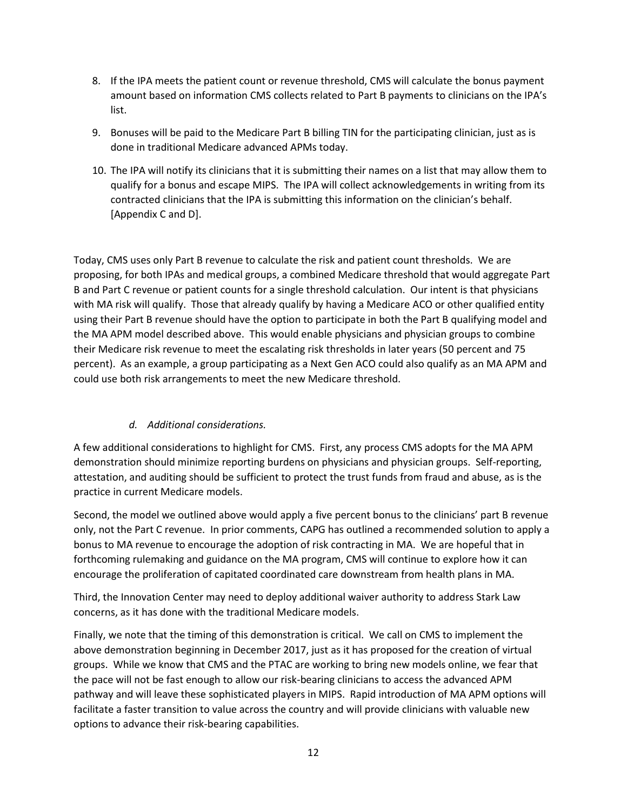- 8. If the IPA meets the patient count or revenue threshold, CMS will calculate the bonus payment amount based on information CMS collects related to Part B payments to clinicians on the IPA's list.
- 9. Bonuses will be paid to the Medicare Part B billing TIN for the participating clinician, just as is done in traditional Medicare advanced APMs today.
- 10. The IPA will notify its clinicians that it is submitting their names on a list that may allow them to qualify for a bonus and escape MIPS. The IPA will collect acknowledgements in writing from its contracted clinicians that the IPA is submitting this information on the clinician's behalf. [Appendix C and D].

Today, CMS uses only Part B revenue to calculate the risk and patient count thresholds. We are proposing, for both IPAs and medical groups, a combined Medicare threshold that would aggregate Part B and Part C revenue or patient counts for a single threshold calculation. Our intent is that physicians with MA risk will qualify. Those that already qualify by having a Medicare ACO or other qualified entity using their Part B revenue should have the option to participate in both the Part B qualifying model and the MA APM model described above. This would enable physicians and physician groups to combine their Medicare risk revenue to meet the escalating risk thresholds in later years (50 percent and 75 percent). As an example, a group participating as a Next Gen ACO could also qualify as an MA APM and could use both risk arrangements to meet the new Medicare threshold.

## *d. Additional considerations.*

A few additional considerations to highlight for CMS. First, any process CMS adopts for the MA APM demonstration should minimize reporting burdens on physicians and physician groups. Self-reporting, attestation, and auditing should be sufficient to protect the trust funds from fraud and abuse, as is the practice in current Medicare models.

Second, the model we outlined above would apply a five percent bonus to the clinicians' part B revenue only, not the Part C revenue. In prior comments, CAPG has outlined a recommended solution to apply a bonus to MA revenue to encourage the adoption of risk contracting in MA. We are hopeful that in forthcoming rulemaking and guidance on the MA program, CMS will continue to explore how it can encourage the proliferation of capitated coordinated care downstream from health plans in MA.

Third, the Innovation Center may need to deploy additional waiver authority to address Stark Law concerns, as it has done with the traditional Medicare models.

Finally, we note that the timing of this demonstration is critical. We call on CMS to implement the above demonstration beginning in December 2017, just as it has proposed for the creation of virtual groups. While we know that CMS and the PTAC are working to bring new models online, we fear that the pace will not be fast enough to allow our risk-bearing clinicians to access the advanced APM pathway and will leave these sophisticated players in MIPS. Rapid introduction of MA APM options will facilitate a faster transition to value across the country and will provide clinicians with valuable new options to advance their risk-bearing capabilities.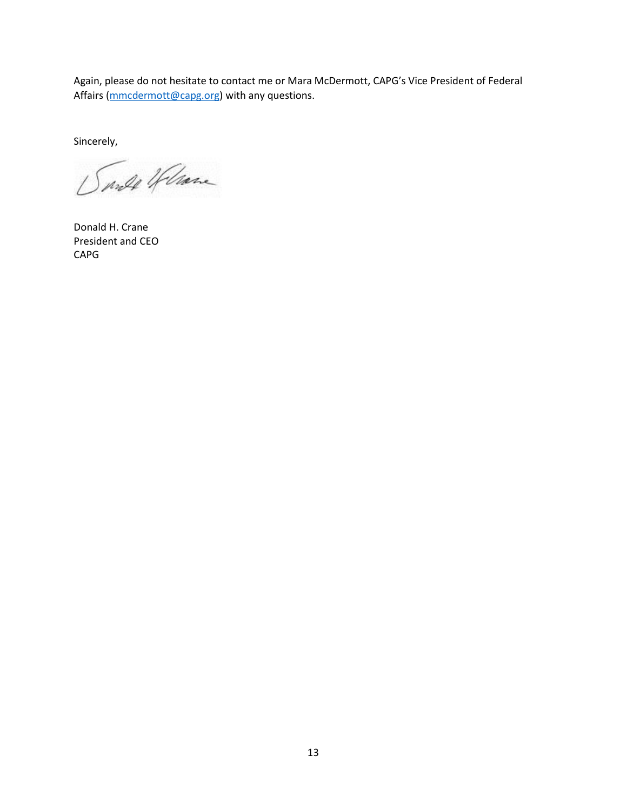Again, please do not hesitate to contact me or Mara McDermott, CAPG's Vice President of Federal Affairs [\(mmcdermott@capg.org\)](mailto:mmcdermott@capg.org) with any questions.

Sincerely,

Sarde Helane

Donald H. Crane President and CEO CAPG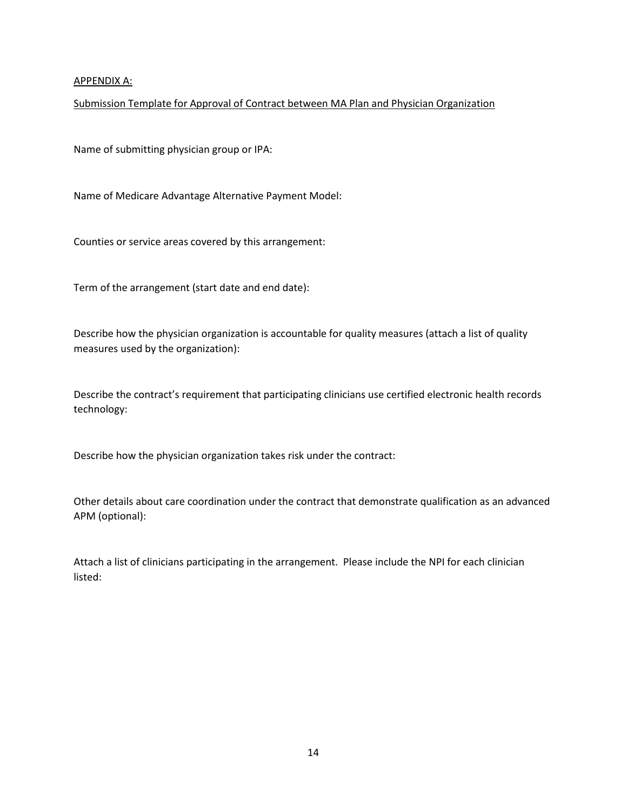#### APPENDIX A:

#### Submission Template for Approval of Contract between MA Plan and Physician Organization

Name of submitting physician group or IPA:

Name of Medicare Advantage Alternative Payment Model:

Counties or service areas covered by this arrangement:

Term of the arrangement (start date and end date):

Describe how the physician organization is accountable for quality measures (attach a list of quality measures used by the organization):

Describe the contract's requirement that participating clinicians use certified electronic health records technology:

Describe how the physician organization takes risk under the contract:

Other details about care coordination under the contract that demonstrate qualification as an advanced APM (optional):

Attach a list of clinicians participating in the arrangement. Please include the NPI for each clinician listed: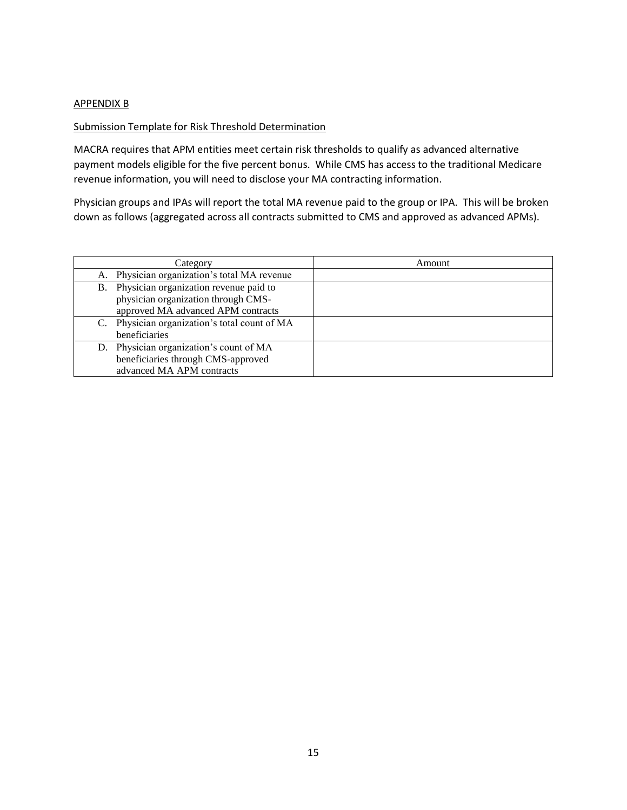#### APPENDIX B

#### Submission Template for Risk Threshold Determination

MACRA requires that APM entities meet certain risk thresholds to qualify as advanced alternative payment models eligible for the five percent bonus. While CMS has access to the traditional Medicare revenue information, you will need to disclose your MA contracting information.

Physician groups and IPAs will report the total MA revenue paid to the group or IPA. This will be broken down as follows (aggregated across all contracts submitted to CMS and approved as advanced APMs).

|           | Category                                     | Amount |
|-----------|----------------------------------------------|--------|
|           | A. Physician organization's total MA revenue |        |
| <b>B.</b> | Physician organization revenue paid to       |        |
|           | physician organization through CMS-          |        |
|           | approved MA advanced APM contracts           |        |
|           | Physician organization's total count of MA   |        |
|           | beneficiaries                                |        |
|           | D. Physician organization's count of MA      |        |
|           | beneficiaries through CMS-approved           |        |
|           | advanced MA APM contracts                    |        |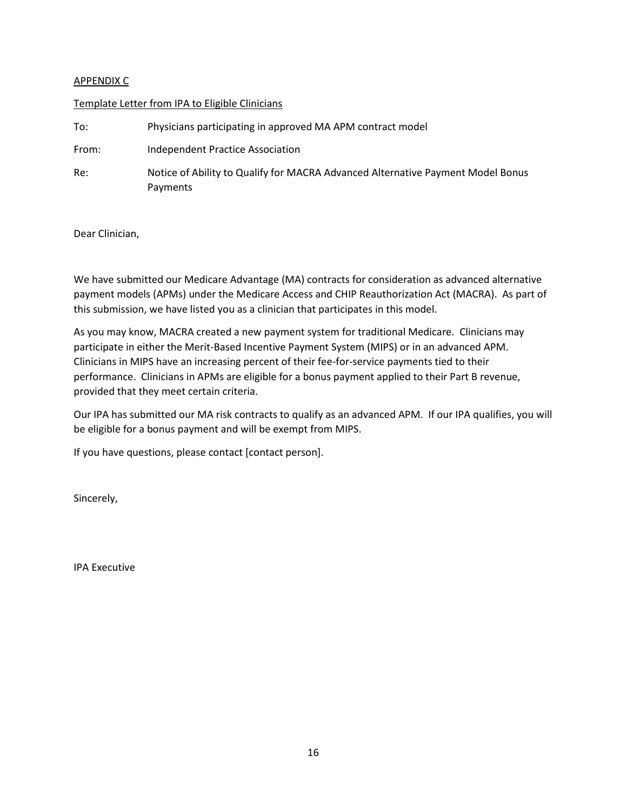### APPENDIX C

#### Template Letter from IPA to Eligible Clinicians

| To:   | Physicians participating in approved MA APM contract model                                  |  |
|-------|---------------------------------------------------------------------------------------------|--|
| From: | Independent Practice Association                                                            |  |
| Re:   | Notice of Ability to Qualify for MACRA Advanced Alternative Payment Model Bonus<br>Payments |  |

Dear Clinician,

We have submitted our Medicare Advantage (MA) contracts for consideration as advanced alternative payment models (APMs) under the Medicare Access and CHIP Reauthorization Act (MACRA). As part of this submission, we have listed you as a clinician that participates in this model.

As you may know, MACRA created a new payment system for traditional Medicare. Clinicians may participate in either the Merit-Based Incentive Payment System (MIPS) or in an advanced APM. Clinicians in MIPS have an increasing percent of their fee-for-service payments tied to their performance. Clinicians in APMs are eligible for a bonus payment applied to their Part B revenue, provided that they meet certain criteria.

Our IPA has submitted our MA risk contracts to qualify as an advanced APM. If our IPA qualifies, you will be eligible for a bonus payment and will be exempt from MIPS.

If you have questions, please contact [contact person].

Sincerely,

IPA Executive